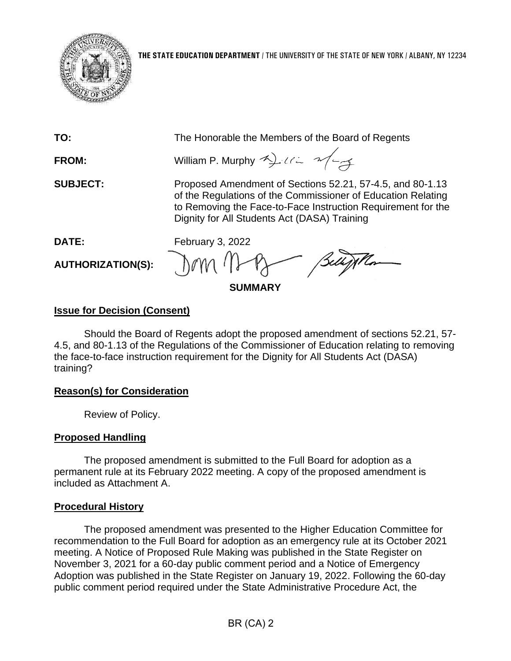

**TO:** The Honorable the Members of the Board of Regents

**FROM:** William P. Murphy  $\rightarrow$   $\rightarrow$   $\rightarrow$ 

**SUBJECT:** Proposed Amendment of Sections 52.21, 57-4.5, and 80-1.13 of the Regulations of the Commissioner of Education Relating to Removing the Face-to-Face Instruction Requirement for the Dignity for All Students Act (DASA) Training

**AUTHORIZATION(S):**

**DATE:** February 3, 2022 Dom  $\eta$ 

**SUMMARY**

# **Issue for Decision (Consent)**

Should the Board of Regents adopt the proposed amendment of sections 52.21, 57- 4.5, and 80-1.13 of the Regulations of the Commissioner of Education relating to removing the face-to-face instruction requirement for the Dignity for All Students Act (DASA) training?

# **Reason(s) for Consideration**

Review of Policy.

# **Proposed Handling**

The proposed amendment is submitted to the Full Board for adoption as a permanent rule at its February 2022 meeting. A copy of the proposed amendment is included as Attachment A.

## **Procedural History**

The proposed amendment was presented to the Higher Education Committee for recommendation to the Full Board for adoption as an emergency rule at its October 2021 meeting. A Notice of Proposed Rule Making was published in the State Register on November 3, 2021 for a 60-day public comment period and a Notice of Emergency Adoption was published in the State Register on January 19, 2022. Following the 60-day public comment period required under the State Administrative Procedure Act, the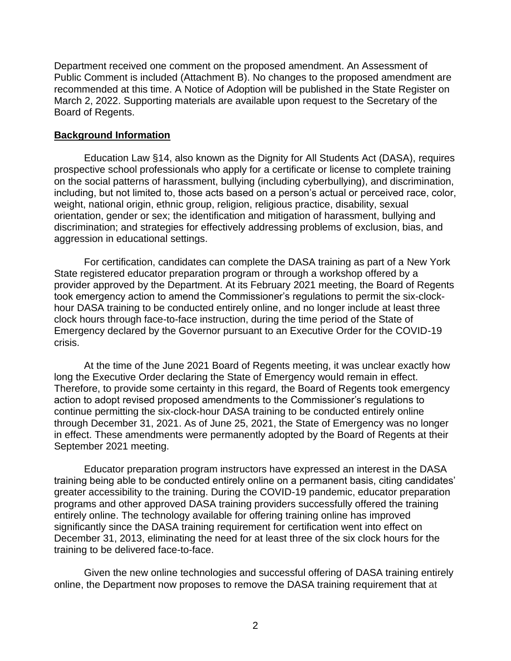Department received one comment on the proposed amendment. An Assessment of Public Comment is included (Attachment B). No changes to the proposed amendment are recommended at this time. A Notice of Adoption will be published in the State Register on March 2, 2022. Supporting materials are available upon request to the Secretary of the Board of Regents.

### **Background Information**

Education Law §14, also known as the Dignity for All Students Act (DASA), requires prospective school professionals who apply for a certificate or license to complete training on the social patterns of harassment, bullying (including cyberbullying), and discrimination, including, but not limited to, those acts based on a person's actual or perceived race, color, weight, national origin, ethnic group, religion, religious practice, disability, sexual orientation, gender or sex; the identification and mitigation of harassment, bullying and discrimination; and strategies for effectively addressing problems of exclusion, bias, and aggression in educational settings.

For certification, candidates can complete the DASA training as part of a New York State registered educator preparation program or through a workshop offered by a provider approved by the Department. At its February 2021 meeting, the Board of Regents took emergency action to amend the Commissioner's regulations to permit the six-clockhour DASA training to be conducted entirely online, and no longer include at least three clock hours through face-to-face instruction, during the time period of the State of Emergency declared by the Governor pursuant to an Executive Order for the COVID-19 crisis.

At the time of the June 2021 Board of Regents meeting, it was unclear exactly how long the Executive Order declaring the State of Emergency would remain in effect. Therefore, to provide some certainty in this regard, the Board of Regents took emergency action to adopt revised proposed amendments to the Commissioner's regulations to continue permitting the six-clock-hour DASA training to be conducted entirely online through December 31, 2021. As of June 25, 2021, the State of Emergency was no longer in effect. These amendments were permanently adopted by the Board of Regents at their September 2021 meeting.

Educator preparation program instructors have expressed an interest in the DASA training being able to be conducted entirely online on a permanent basis, citing candidates' greater accessibility to the training. During the COVID-19 pandemic, educator preparation programs and other approved DASA training providers successfully offered the training entirely online. The technology available for offering training online has improved significantly since the DASA training requirement for certification went into effect on December 31, 2013, eliminating the need for at least three of the six clock hours for the training to be delivered face-to-face.

Given the new online technologies and successful offering of DASA training entirely online, the Department now proposes to remove the DASA training requirement that at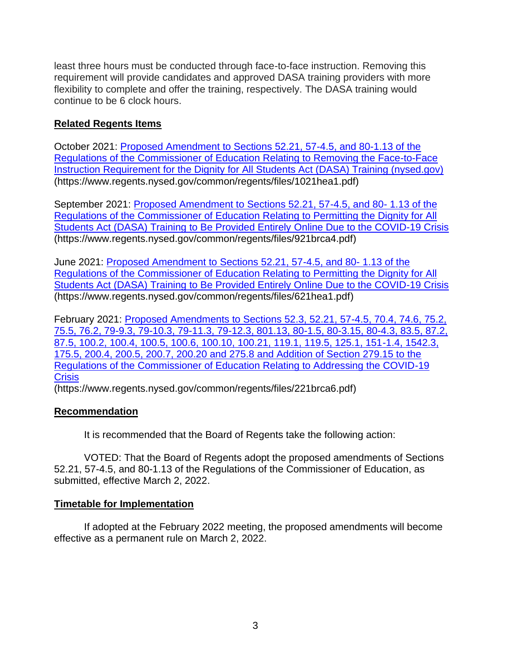least three hours must be conducted through face-to-face instruction. Removing this requirement will provide candidates and approved DASA training providers with more flexibility to complete and offer the training, respectively. The DASA training would continue to be 6 clock hours.

## **Related Regents Items**

October 2021: [Proposed Amendment to Sections 52.21, 57-4.5, and 80-1.13 of the](https://www.regents.nysed.gov/common/regents/files/1021hea1.pdf)  [Regulations of the Commissioner of Education Relating to Removing the Face-to-Face](https://www.regents.nysed.gov/common/regents/files/1021hea1.pdf)  [Instruction Requirement for the Dignity for All Students Act \(DASA\) Training \(nysed.gov\)](https://www.regents.nysed.gov/common/regents/files/1021hea1.pdf) (https://www.regents.nysed.gov/common/regents/files/1021hea1.pdf)

September 2021: [Proposed Amendment to Sections 52.21, 57-4.5, and 80-](https://www.regents.nysed.gov/common/regents/files/921brca4.pdf) 1.13 of the [Regulations of the Commissioner of Education Relating to Permitting the Dignity for All](https://www.regents.nysed.gov/common/regents/files/921brca4.pdf)  [Students Act \(DASA\) Training to Be Provided Entirely](https://www.regents.nysed.gov/common/regents/files/921brca4.pdf) Online Due to the COVID-19 Crisis (https://www.regents.nysed.gov/common/regents/files/921brca4.pdf)

June 2021: [Proposed Amendment to Sections 52.21, 57-4.5, and 80-](https://www.regents.nysed.gov/common/regents/files/621hea1.pdf) 1.13 of the [Regulations of the Commissioner of Education Relating to Permitting the Dignity for All](https://www.regents.nysed.gov/common/regents/files/621hea1.pdf)  [Students Act \(DASA\) Training to Be Provided Entirely Online Due to the COVID-19 Crisis](https://www.regents.nysed.gov/common/regents/files/621hea1.pdf) (https://www.regents.nysed.gov/common/regents/files/621hea1.pdf)

February 2021: [Proposed Amendments to Sections 52.3, 52.21, 57-4.5, 70.4, 74.6, 75.2,](https://www.regents.nysed.gov/common/regents/files/221brca6.pdf)  [75.5, 76.2, 79-9.3, 79-10.3, 79-11.3, 79-12.3, 801.13, 80-1.5, 80-3.15, 80-4.3, 83.5, 87.2,](https://www.regents.nysed.gov/common/regents/files/221brca6.pdf)  [87.5, 100.2, 100.4, 100.5, 100.6, 100.10, 100.21, 119.1, 119.5, 125.1, 151-1.4, 1542.3,](https://www.regents.nysed.gov/common/regents/files/221brca6.pdf)  [175.5, 200.4, 200.5, 200.7, 200.20 and 275.8 and Addition of Section 279.15 to the](https://www.regents.nysed.gov/common/regents/files/221brca6.pdf)  Regulations of the [Commissioner of Education Relating to Addressing the COVID-19](https://www.regents.nysed.gov/common/regents/files/221brca6.pdf)  **[Crisis](https://www.regents.nysed.gov/common/regents/files/221brca6.pdf)** 

(https://www.regents.nysed.gov/common/regents/files/221brca6.pdf)

## **Recommendation**

It is recommended that the Board of Regents take the following action:

VOTED: That the Board of Regents adopt the proposed amendments of Sections 52.21, 57-4.5, and 80-1.13 of the Regulations of the Commissioner of Education, as submitted, effective March 2, 2022.

## **Timetable for Implementation**

If adopted at the February 2022 meeting, the proposed amendments will become effective as a permanent rule on March 2, 2022.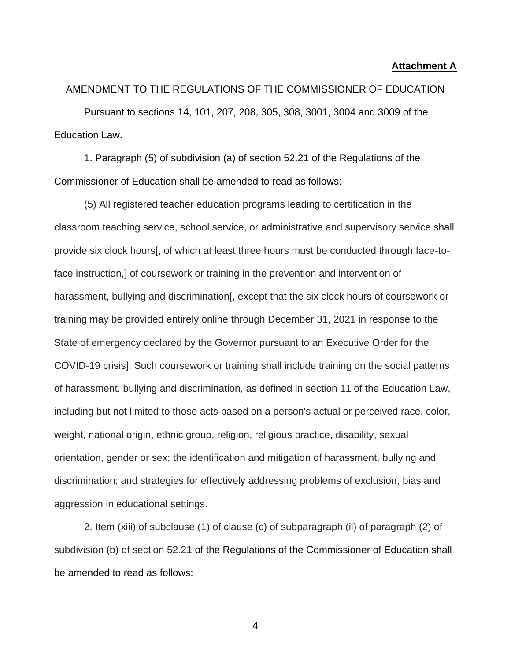#### **Attachment A**

AMENDMENT TO THE REGULATIONS OF THE COMMISSIONER OF EDUCATION Pursuant to sections 14, 101, 207, 208, 305, 308, 3001, 3004 and 3009 of the Education Law.

1. Paragraph (5) of subdivision (a) of section 52.21 of the Regulations of the Commissioner of Education shall be amended to read as follows:

(5) All registered teacher education programs leading to certification in the classroom teaching service, school service, or administrative and supervisory service shall provide six clock hours[, of which at least three hours must be conducted through face-toface instruction,] of coursework or training in the prevention and intervention of harassment, bullying and discrimination [, except that the six clock hours of coursework or training may be provided entirely online through December 31, 2021 in response to the State of emergency declared by the Governor pursuant to an Executive Order for the COVID-19 crisis]. Such coursework or training shall include training on the social patterns of harassment. bullying and discrimination, as defined in section 11 of the Education Law, including but not limited to those acts based on a person's actual or perceived race, color, weight, national origin, ethnic group, religion, religious practice, disability, sexual orientation, gender or sex; the identification and mitigation of harassment, bullying and discrimination; and strategies for effectively addressing problems of exclusion, bias and aggression in educational settings.

2. Item (xiii) of subclause (1) of clause (c) of subparagraph (ii) of paragraph (2) of subdivision (b) of section 52.21 of the Regulations of the Commissioner of Education shall be amended to read as follows: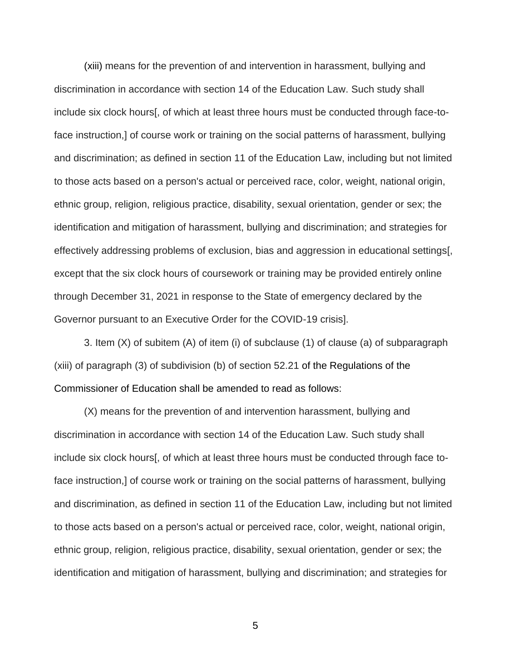(xiii) means for the prevention of and intervention in harassment, bullying and discrimination in accordance with section 14 of the Education Law. Such study shall include six clock hours[, of which at least three hours must be conducted through face-toface instruction,] of course work or training on the social patterns of harassment, bullying and discrimination; as defined in section 11 of the Education Law, including but not limited to those acts based on a person's actual or perceived race, color, weight, national origin, ethnic group, religion, religious practice, disability, sexual orientation, gender or sex; the identification and mitigation of harassment, bullying and discrimination; and strategies for effectively addressing problems of exclusion, bias and aggression in educational settings[, except that the six clock hours of coursework or training may be provided entirely online through December 31, 2021 in response to the State of emergency declared by the Governor pursuant to an Executive Order for the COVID-19 crisis].

3. Item (X) of subitem (A) of item (i) of subclause (1) of clause (a) of subparagraph (xiii) of paragraph (3) of subdivision (b) of section 52.21 of the Regulations of the Commissioner of Education shall be amended to read as follows:

(X) means for the prevention of and intervention harassment, bullying and discrimination in accordance with section 14 of the Education Law. Such study shall include six clock hours[, of which at least three hours must be conducted through face toface instruction,] of course work or training on the social patterns of harassment, bullying and discrimination, as defined in section 11 of the Education Law, including but not limited to those acts based on a person's actual or perceived race, color, weight, national origin, ethnic group, religion, religious practice, disability, sexual orientation, gender or sex; the identification and mitigation of harassment, bullying and discrimination; and strategies for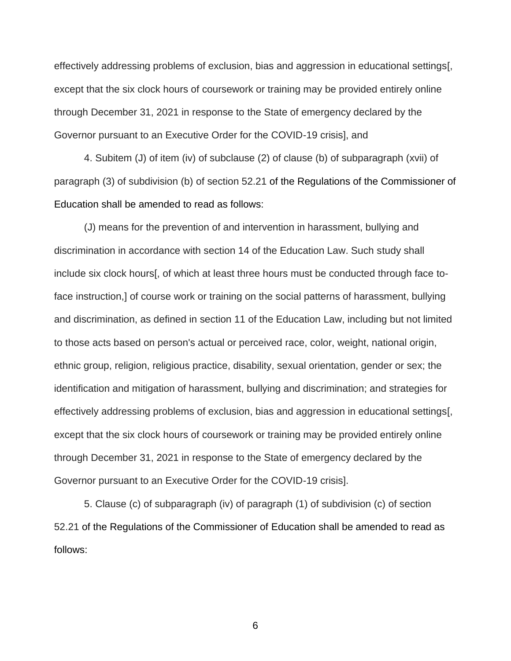effectively addressing problems of exclusion, bias and aggression in educational settings[, except that the six clock hours of coursework or training may be provided entirely online through December 31, 2021 in response to the State of emergency declared by the Governor pursuant to an Executive Order for the COVID-19 crisis], and

4. Subitem (J) of item (iv) of subclause (2) of clause (b) of subparagraph (xvii) of paragraph (3) of subdivision (b) of section 52.21 of the Regulations of the Commissioner of Education shall be amended to read as follows:

(J) means for the prevention of and intervention in harassment, bullying and discrimination in accordance with section 14 of the Education Law. Such study shall include six clock hours[, of which at least three hours must be conducted through face toface instruction,] of course work or training on the social patterns of harassment, bullying and discrimination, as defined in section 11 of the Education Law, including but not limited to those acts based on person's actual or perceived race, color, weight, national origin, ethnic group, religion, religious practice, disability, sexual orientation, gender or sex; the identification and mitigation of harassment, bullying and discrimination; and strategies for effectively addressing problems of exclusion, bias and aggression in educational settings[, except that the six clock hours of coursework or training may be provided entirely online through December 31, 2021 in response to the State of emergency declared by the Governor pursuant to an Executive Order for the COVID-19 crisis].

5. Clause (c) of subparagraph (iv) of paragraph (1) of subdivision (c) of section 52.21 of the Regulations of the Commissioner of Education shall be amended to read as follows: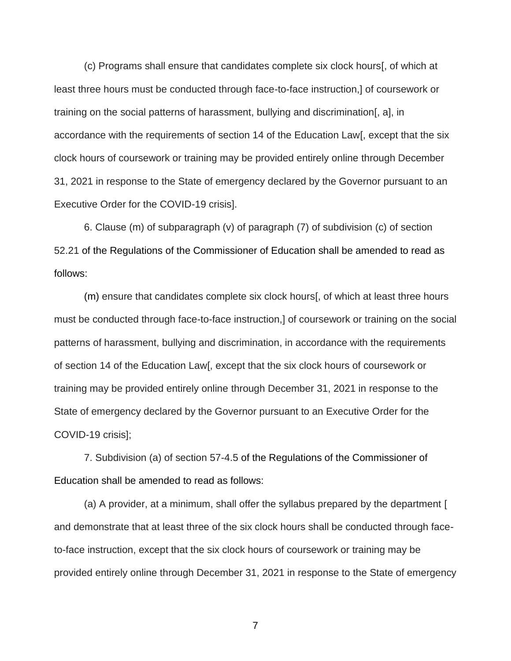(c) Programs shall ensure that candidates complete six clock hours[, of which at least three hours must be conducted through face-to-face instruction,] of coursework or training on the social patterns of harassment, bullying and discrimination[, a], in accordance with the requirements of section 14 of the Education Law[, except that the six clock hours of coursework or training may be provided entirely online through December 31, 2021 in response to the State of emergency declared by the Governor pursuant to an Executive Order for the COVID-19 crisis].

6. Clause (m) of subparagraph (v) of paragraph (7) of subdivision (c) of section 52.21 of the Regulations of the Commissioner of Education shall be amended to read as follows:

(m) ensure that candidates complete six clock hours[, of which at least three hours must be conducted through face-to-face instruction,] of coursework or training on the social patterns of harassment, bullying and discrimination, in accordance with the requirements of section 14 of the Education Law[, except that the six clock hours of coursework or training may be provided entirely online through December 31, 2021 in response to the State of emergency declared by the Governor pursuant to an Executive Order for the COVID-19 crisis];

7. Subdivision (a) of section 57-4.5 of the Regulations of the Commissioner of Education shall be amended to read as follows:

(a) A provider, at a minimum, shall offer the syllabus prepared by the department [ and demonstrate that at least three of the six clock hours shall be conducted through faceto-face instruction, except that the six clock hours of coursework or training may be provided entirely online through December 31, 2021 in response to the State of emergency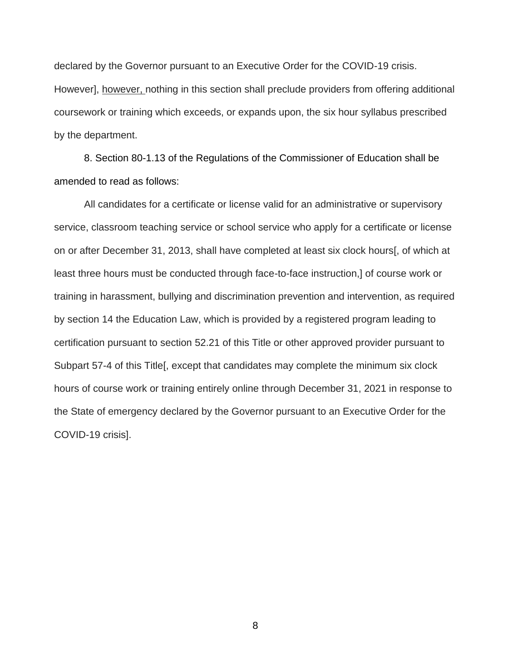declared by the Governor pursuant to an Executive Order for the COVID-19 crisis. However], however, nothing in this section shall preclude providers from offering additional coursework or training which exceeds, or expands upon, the six hour syllabus prescribed by the department.

8. Section 80-1.13 of the Regulations of the Commissioner of Education shall be amended to read as follows:

All candidates for a certificate or license valid for an administrative or supervisory service, classroom teaching service or school service who apply for a certificate or license on or after December 31, 2013, shall have completed at least six clock hours[, of which at least three hours must be conducted through face-to-face instruction,] of course work or training in harassment, bullying and discrimination prevention and intervention, as required by section 14 the Education Law, which is provided by a registered program leading to certification pursuant to section 52.21 of this Title or other approved provider pursuant to Subpart 57-4 of this Title[, except that candidates may complete the minimum six clock hours of course work or training entirely online through December 31, 2021 in response to the State of emergency declared by the Governor pursuant to an Executive Order for the COVID-19 crisis].